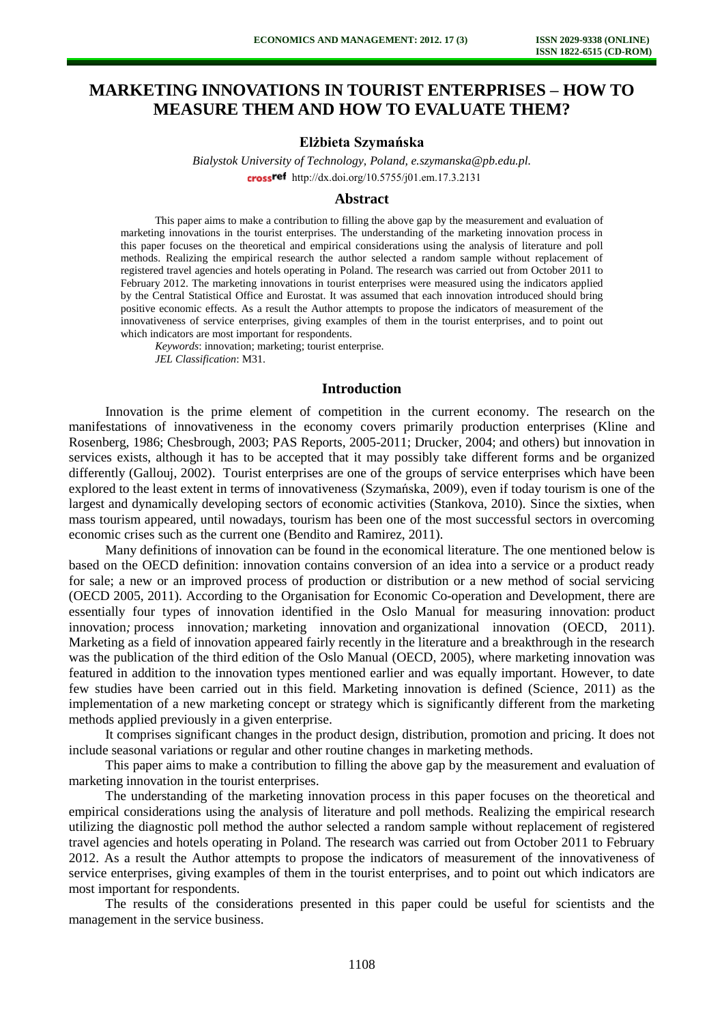# **MARKETING INNOVATIONS IN TOURIST ENTERPRISES – HOW TO MEASURE THEM AND HOW TO EVALUATE THEM?**

## **Elżbieta Szymańska**

*Bialystok University of Technology, Poland, [e.szymanska@pb.edu.pl.](mailto:e.szymanska@pb.edu.pl)*  crossref [http://dx.doi.org/10.5755/j01.e](http://dx.doi.org/10.5755/j01.em.17.3.2131)m.17.3.2131

#### **Abstract**

This paper aims to make a contribution to filling the above gap by the measurement and evaluation of marketing innovations in the tourist enterprises. The understanding of the marketing innovation process in this paper focuses on the theoretical and empirical considerations using the analysis of literature and poll methods. Realizing the empirical research the author selected a random sample without replacement of registered travel agencies and hotels operating in Poland. The research was carried out from October 2011 to February 2012. The marketing innovations in tourist enterprises were measured using the indicators applied by the Central Statistical Office and Eurostat. It was assumed that each innovation introduced should bring positive economic effects. As a result the Author attempts to propose the indicators of measurement of the innovativeness of service enterprises, giving examples of them in the tourist enterprises, and to point out which indicators are most important for respondents.

*Keywords*: innovation; marketing; tourist enterprise. *JEL Classification*: M31.

## **Introduction**

Innovation is the prime element of competition in the current economy. The research on the manifestations of innovativeness in the economy covers primarily production enterprises (Kline and Rosenberg, 1986; Chesbrough, 2003; PAS Reports, 2005-2011; Drucker, 2004; and others) but innovation in services exists, although it has to be accepted that it may possibly take different forms and be organized differently (Gallouj, 2002). Tourist enterprises are one of the groups of service enterprises which have been explored to the least extent in terms of innovativeness (Szymańska, 2009), even if today tourism is one of the largest and dynamically developing sectors of economic activities (Stankova, 2010). Since the sixties, when mass tourism appeared, until nowadays, tourism has been one of the most successful sectors in overcoming economic crises such as the current one (Bendito and Ramirez, 2011).

Many definitions of innovation can be found in the economical literature. The one mentioned below is based on the OECD definition: innovation contains conversion of an idea into a service or a product ready for sale; a new or an improved process of production or distribution or a new method of social servicing (OECD 2005, 2011). According to the Organisation for Economic Co-operation and Development, there are essentially four types of innovation identified in the Oslo Manual for measuring innovation: product innovation*;* process innovation*;* marketing innovation and organizational innovation (OECD, 2011). Marketing as a field of innovation appeared fairly recently in the literature and a breakthrough in the research was the publication of the third edition of the Oslo Manual (OECD, 2005), where marketing innovation was featured in addition to the innovation types mentioned earlier and was equally important. However, to date few studies have been carried out in this field. Marketing innovation is defined (Science, 2011) as the implementation of a new marketing concept or strategy which is significantly different from the marketing methods applied previously in a given enterprise.

It comprises significant changes in the product design, distribution, promotion and pricing. It does not include seasonal variations or regular and other routine changes in marketing methods.

This paper aims to make a contribution to filling the above gap by the measurement and evaluation of marketing innovation in the tourist enterprises.

The understanding of the marketing innovation process in this paper focuses on the theoretical and empirical considerations using the analysis of literature and poll methods. Realizing the empirical research utilizing the diagnostic poll method the author selected a random sample without replacement of registered travel agencies and hotels operating in Poland. The research was carried out from October 2011 to February 2012. As a result the Author attempts to propose the indicators of measurement of the innovativeness of service enterprises, giving examples of them in the tourist enterprises, and to point out which indicators are most important for respondents.

The results of the considerations presented in this paper could be useful for scientists and the management in the service business.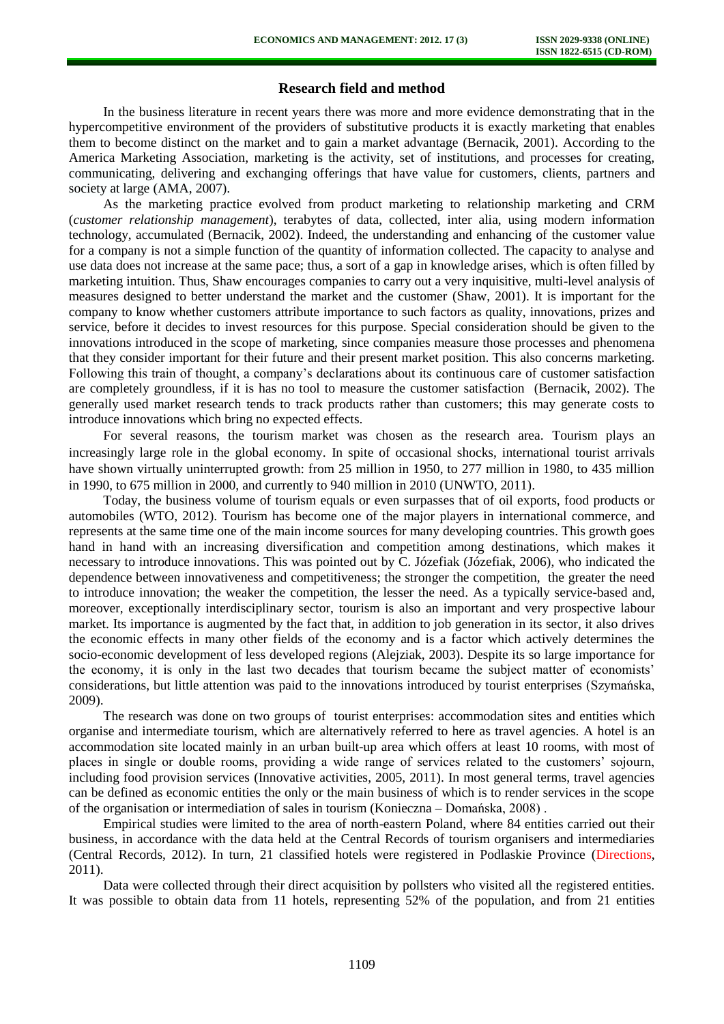# **Research field and method**

In the business literature in recent years there was more and more evidence demonstrating that in the hypercompetitive environment of the providers of substitutive products it is exactly marketing that enables them to become distinct on the market and to gain a market advantage (Bernacik, 2001). According to the America Marketing Association, marketing is the activity, set of institutions, and processes for creating, communicating, delivering and exchanging offerings that have value for customers, clients, partners and society at large (AMA, 2007).

As the marketing practice evolved from product marketing to relationship marketing and CRM (*customer relationship management*), terabytes of data, collected, inter alia, using modern information technology, accumulated (Bernacik, 2002). Indeed, the understanding and enhancing of the customer value for a company is not a simple function of the quantity of information collected. The capacity to analyse and use data does not increase at the same pace; thus, a sort of a gap in knowledge arises, which is often filled by marketing intuition. Thus, Shaw encourages companies to carry out a very inquisitive, multi-level analysis of measures designed to better understand the market and the customer (Shaw, 2001). It is important for the company to know whether customers attribute importance to such factors as quality, innovations, prizes and service, before it decides to invest resources for this purpose. Special consideration should be given to the innovations introduced in the scope of marketing, since companies measure those processes and phenomena that they consider important for their future and their present market position. This also concerns marketing. Following this train of thought, a company's declarations about its continuous care of customer satisfaction are completely groundless, if it is has no tool to measure the customer satisfaction (Bernacik, 2002). The generally used market research tends to track products rather than customers; this may generate costs to introduce innovations which bring no expected effects.

For several reasons, the tourism market was chosen as the research area. Tourism plays an increasingly large role in the global economy. In spite of occasional shocks, international tourist arrivals have shown virtually uninterrupted growth: from 25 million in 1950, to 277 million in 1980, to 435 million in 1990, to 675 million in 2000, and currently to 940 million in 2010 (UNWTO, 2011).

Today, the business volume of tourism equals or even surpasses that of oil exports, food products or automobiles (WTO, 2012). Tourism has become one of the major players in international commerce, and represents at the same time one of the main income sources for many developing countries. This growth goes hand in hand with an increasing diversification and competition among destinations, which makes it necessary to introduce innovations. This was pointed out by C. Józefiak (Józefiak, 2006), who indicated the dependence between innovativeness and competitiveness; the stronger the competition, the greater the need to introduce innovation; the weaker the competition, the lesser the need. As a typically service-based and, moreover, exceptionally interdisciplinary sector, tourism is also an important and very prospective labour market. Its importance is augmented by the fact that, in addition to job generation in its sector, it also drives the economic effects in many other fields of the economy and is a factor which actively determines the socio-economic development of less developed regions (Alejziak, 2003). Despite its so large importance for the economy, it is only in the last two decades that tourism became the subject matter of economists' considerations, but little attention was paid to the innovations introduced by tourist enterprises (Szymańska, 2009).

The research was done on two groups of tourist enterprises: accommodation sites and entities which organise and intermediate tourism, which are alternatively referred to here as travel agencies. A hotel is an accommodation site located mainly in an urban built-up area which offers at least 10 rooms, with most of places in single or double rooms, providing a wide range of services related to the customers' sojourn, including food provision services (Innovative activities, 2005, 2011). In most general terms, travel agencies can be defined as economic entities the only or the main business of which is to render services in the scope of the organisation or intermediation of sales in tourism (Konieczna – Domańska, 2008) .

Empirical studies were limited to the area of north-eastern Poland, where 84 entities carried out their business, in accordance with the data held at the Central Records of tourism organisers and intermediaries (Central Records, 2012). In turn, 21 classified hotels were registered in Podlaskie Province (Directions, 2011).

Data were collected through their direct acquisition by pollsters who visited all the registered entities. It was possible to obtain data from 11 hotels, representing 52% of the population, and from 21 entities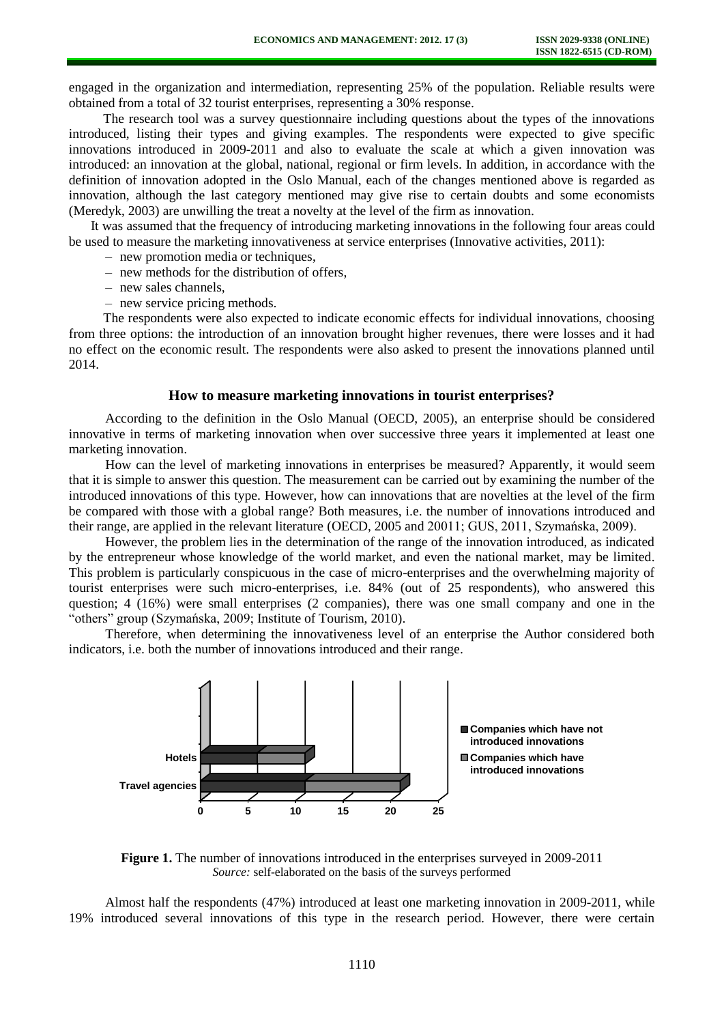engaged in the organization and intermediation, representing 25% of the population. Reliable results were obtained from a total of 32 tourist enterprises, representing a 30% response.

The research tool was a survey questionnaire including questions about the types of the innovations introduced, listing their types and giving examples. The respondents were expected to give specific innovations introduced in 2009-2011 and also to evaluate the scale at which a given innovation was introduced: an innovation at the global, national, regional or firm levels. In addition, in accordance with the definition of innovation adopted in the Oslo Manual, each of the changes mentioned above is regarded as innovation, although the last category mentioned may give rise to certain doubts and some economists (Meredyk, 2003) are unwilling the treat a novelty at the level of the firm as innovation.

It was assumed that the frequency of introducing marketing innovations in the following four areas could be used to measure the marketing innovativeness at service enterprises (Innovative activities, 2011):

- new promotion media or techniques,
- new methods for the distribution of offers,
- new sales channels,
- new service pricing methods.

The respondents were also expected to indicate economic effects for individual innovations, choosing from three options: the introduction of an innovation brought higher revenues, there were losses and it had no effect on the economic result. The respondents were also asked to present the innovations planned until 2014.

#### **How to measure marketing innovations in tourist enterprises?**

According to the definition in the Oslo Manual (OECD, 2005), an enterprise should be considered innovative in terms of marketing innovation when over successive three years it implemented at least one marketing innovation.

How can the level of marketing innovations in enterprises be measured? Apparently, it would seem that it is simple to answer this question. The measurement can be carried out by examining the number of the introduced innovations of this type. However, how can innovations that are novelties at the level of the firm be compared with those with a global range? Both measures, i.e. the number of innovations introduced and their range, are applied in the relevant literature (OECD, 2005 and 20011; GUS, 2011, Szymańska, 2009).

However, the problem lies in the determination of the range of the innovation introduced, as indicated by the entrepreneur whose knowledge of the world market, and even the national market, may be limited. This problem is particularly conspicuous in the case of micro-enterprises and the overwhelming majority of tourist enterprises were such micro-enterprises, i.e. 84% (out of 25 respondents), who answered this question; 4 (16%) were small enterprises (2 companies), there was one small company and one in the "others" group (Szymańska, 2009; Institute of Tourism, 2010).

Therefore, when determining the innovativeness level of an enterprise the Author considered both indicators, i.e. both the number of innovations introduced and their range.



**Figure 1.** The number of innovations introduced in the enterprises surveyed in 2009-2011 *Source:* self-elaborated on the basis of the surveys performed

Almost half the respondents (47%) introduced at least one marketing innovation in 2009-2011, while 19% introduced several innovations of this type in the research period. However, there were certain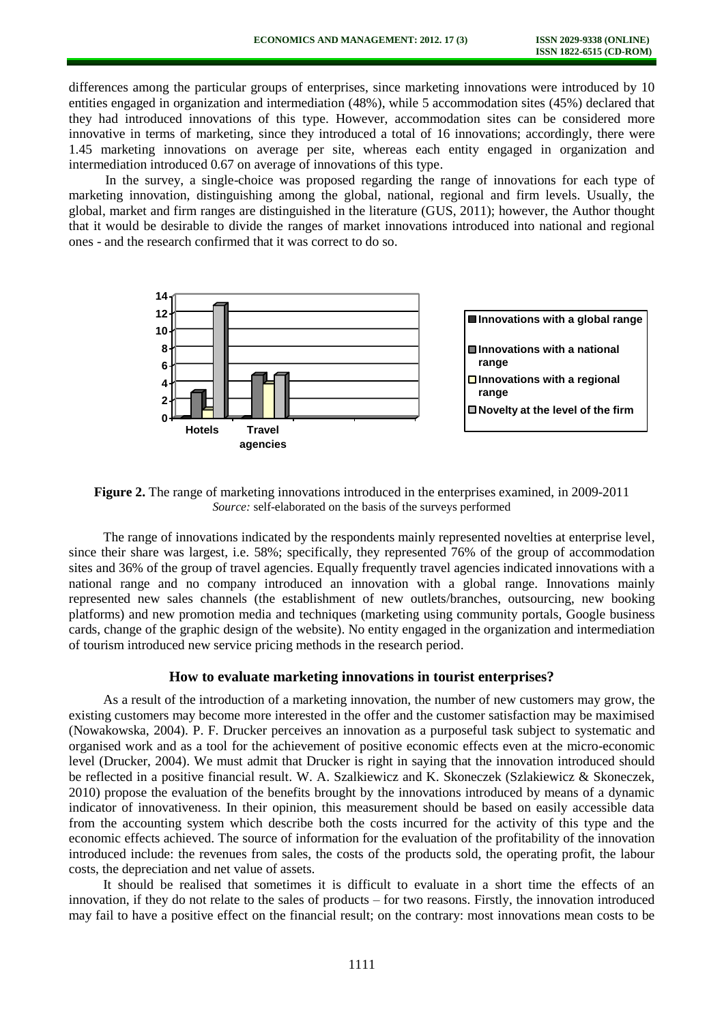differences among the particular groups of enterprises, since marketing innovations were introduced by 10 entities engaged in organization and intermediation (48%), while 5 accommodation sites (45%) declared that they had introduced innovations of this type. However, accommodation sites can be considered more innovative in terms of marketing, since they introduced a total of 16 innovations; accordingly, there were 1.45 marketing innovations on average per site, whereas each entity engaged in organization and intermediation introduced 0.67 on average of innovations of this type.

In the survey, a single-choice was proposed regarding the range of innovations for each type of marketing innovation, distinguishing among the global, national, regional and firm levels. Usually, the global, market and firm ranges are distinguished in the literature (GUS, 2011); however, the Author thought that it would be desirable to divide the ranges of market innovations introduced into national and regional ones - and the research confirmed that it was correct to do so.



**Figure 2.** The range of marketing innovations introduced in the enterprises examined, in 2009-2011 *Source:* self-elaborated on the basis of the surveys performed

The range of innovations indicated by the respondents mainly represented novelties at enterprise level, since their share was largest, i.e. 58%; specifically, they represented 76% of the group of accommodation sites and 36% of the group of travel agencies. Equally frequently travel agencies indicated innovations with a national range and no company introduced an innovation with a global range. Innovations mainly represented new sales channels (the establishment of new outlets/branches, outsourcing, new booking platforms) and new promotion media and techniques (marketing using community portals, Google business cards, change of the graphic design of the website). No entity engaged in the organization and intermediation of tourism introduced new service pricing methods in the research period.

# **How to evaluate marketing innovations in tourist enterprises?**

As a result of the introduction of a marketing innovation, the number of new customers may grow, the existing customers may become more interested in the offer and the customer satisfaction may be maximised (Nowakowska, 2004). P. F. Drucker perceives an innovation as a purposeful task subject to systematic and organised work and as a tool for the achievement of positive economic effects even at the micro-economic level (Drucker, 2004). We must admit that Drucker is right in saying that the innovation introduced should be reflected in a positive financial result. W. A. Szalkiewicz and K. Skoneczek (Szlakiewicz & Skoneczek, 2010) propose the evaluation of the benefits brought by the innovations introduced by means of a dynamic indicator of innovativeness. In their opinion, this measurement should be based on easily accessible data from the accounting system which describe both the costs incurred for the activity of this type and the economic effects achieved. The source of information for the evaluation of the profitability of the innovation introduced include: the revenues from sales, the costs of the products sold, the operating profit, the labour costs, the depreciation and net value of assets.

It should be realised that sometimes it is difficult to evaluate in a short time the effects of an innovation, if they do not relate to the sales of products – for two reasons. Firstly, the innovation introduced may fail to have a positive effect on the financial result; on the contrary: most innovations mean costs to be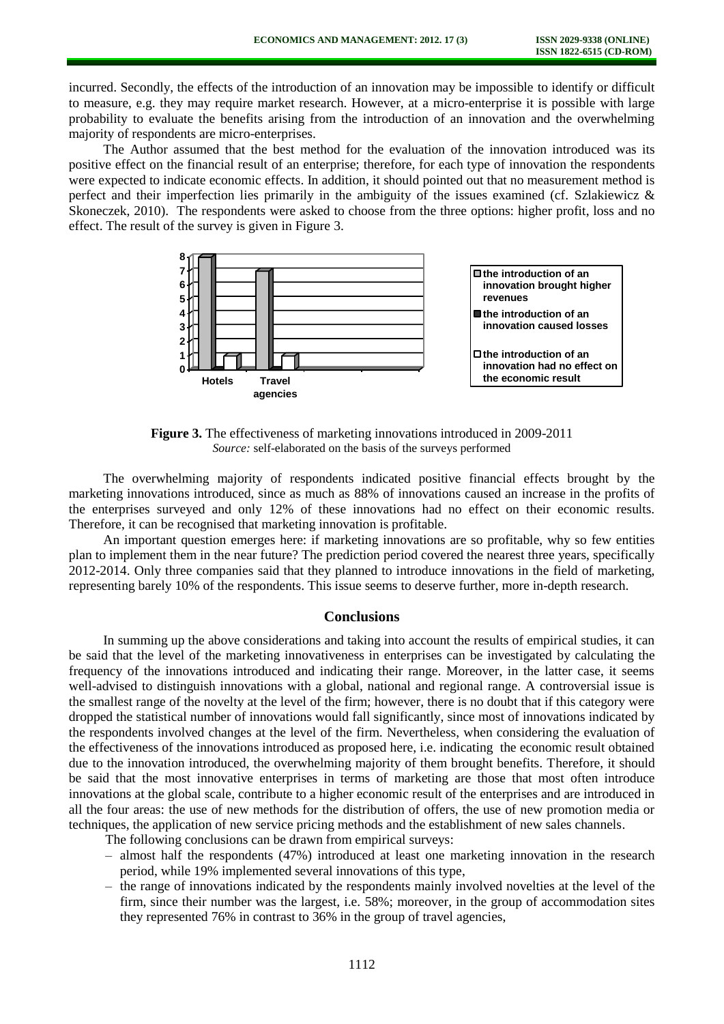incurred. Secondly, the effects of the introduction of an innovation may be impossible to identify or difficult to measure, e.g. they may require market research. However, at a micro-enterprise it is possible with large probability to evaluate the benefits arising from the introduction of an innovation and the overwhelming majority of respondents are micro-enterprises.

The Author assumed that the best method for the evaluation of the innovation introduced was its positive effect on the financial result of an enterprise; therefore, for each type of innovation the respondents were expected to indicate economic effects. In addition, it should pointed out that no measurement method is perfect and their imperfection lies primarily in the ambiguity of the issues examined (cf. Szlakiewicz & Skoneczek, 2010). The respondents were asked to choose from the three options: higher profit, loss and no effect. The result of the survey is given in Figure 3.



**Figure 3.** The effectiveness of marketing innovations introduced in 2009-2011 *Source:* self-elaborated on the basis of the surveys performed

The overwhelming majority of respondents indicated positive financial effects brought by the marketing innovations introduced, since as much as 88% of innovations caused an increase in the profits of the enterprises surveyed and only 12% of these innovations had no effect on their economic results. Therefore, it can be recognised that marketing innovation is profitable.

An important question emerges here: if marketing innovations are so profitable, why so few entities plan to implement them in the near future? The prediction period covered the nearest three years, specifically 2012-2014. Only three companies said that they planned to introduce innovations in the field of marketing, representing barely 10% of the respondents. This issue seems to deserve further, more in-depth research.

# **Conclusions**

In summing up the above considerations and taking into account the results of empirical studies, it can be said that the level of the marketing innovativeness in enterprises can be investigated by calculating the frequency of the innovations introduced and indicating their range. Moreover, in the latter case, it seems well-advised to distinguish innovations with a global, national and regional range. A controversial issue is the smallest range of the novelty at the level of the firm; however, there is no doubt that if this category were dropped the statistical number of innovations would fall significantly, since most of innovations indicated by the respondents involved changes at the level of the firm. Nevertheless, when considering the evaluation of the effectiveness of the innovations introduced as proposed here, i.e. indicating the economic result obtained due to the innovation introduced, the overwhelming majority of them brought benefits. Therefore, it should be said that the most innovative enterprises in terms of marketing are those that most often introduce innovations at the global scale, contribute to a higher economic result of the enterprises and are introduced in all the four areas: the use of new methods for the distribution of offers, the use of new promotion media or techniques, the application of new service pricing methods and the establishment of new sales channels.

The following conclusions can be drawn from empirical surveys:

- almost half the respondents (47%) introduced at least one marketing innovation in the research period, while 19% implemented several innovations of this type,
- the range of innovations indicated by the respondents mainly involved novelties at the level of the firm, since their number was the largest, i.e. 58%; moreover, in the group of accommodation sites they represented 76% in contrast to 36% in the group of travel agencies,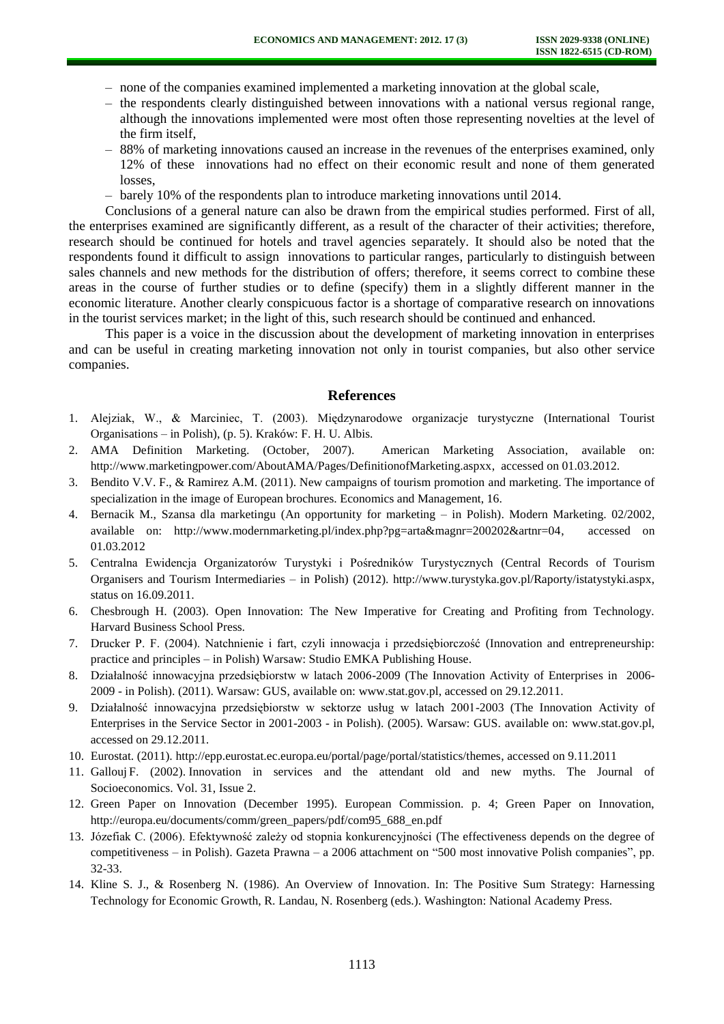- none of the companies examined implemented a marketing innovation at the global scale,
- the respondents clearly distinguished between innovations with a national versus regional range, although the innovations implemented were most often those representing novelties at the level of the firm itself,
- 88% of marketing innovations caused an increase in the revenues of the enterprises examined, only 12% of these innovations had no effect on their economic result and none of them generated losses,
- barely 10% of the respondents plan to introduce marketing innovations until 2014.

Conclusions of a general nature can also be drawn from the empirical studies performed. First of all, the enterprises examined are significantly different, as a result of the character of their activities; therefore, research should be continued for hotels and travel agencies separately. It should also be noted that the respondents found it difficult to assign innovations to particular ranges, particularly to distinguish between sales channels and new methods for the distribution of offers; therefore, it seems correct to combine these areas in the course of further studies or to define (specify) them in a slightly different manner in the economic literature. Another clearly conspicuous factor is a shortage of comparative research on innovations in the tourist services market; in the light of this, such research should be continued and enhanced.

This paper is a voice in the discussion about the development of marketing innovation in enterprises and can be useful in creating marketing innovation not only in tourist companies, but also other service companies.

#### **References**

- 1. Alejziak, W., & Marciniec, T. (2003). Międzynarodowe organizacje turystyczne (International Tourist Organisations – in Polish), (p. 5). Kraków: F. H. U. Albis.
- 2. AMA Definition Marketing. (October, 2007). American Marketing Association, available on: [http://www.marketingpower.com/AboutAMA/Pages/DefinitionofMarketing.aspxx,](http://www.marketingpower.com/AboutAMA/Pages/DefinitionofMarketing.aspxx) accessed on 01.03.2012.
- 3. Bendito V.V. F., & Ramirez A.M. (2011). New campaigns of tourism promotion and marketing. The importance of specialization in the image of European brochures. Economics and Management, 16.
- 4. Bernacik M., Szansa dla marketingu (An opportunity for marketing in Polish). Modern Marketing. 02/2002, available on: [http://www.modernmarketing.pl/index.php?pg=arta&magnr=200202&artnr=04,](http://www.modernmarketing.pl/index.php?pg=arta&magnr=200202&artnr=04) accessed on 01.03.2012
- 5. Centralna Ewidencja Organizatorów Turystyki i Pośredników Turystycznych (Central Records of Tourism Organisers and Tourism Intermediaries – in Polish) (2012). [http://www.turystyka.gov.pl/Raporty/istatystyki.aspx,](http://www.turystyka.gov.pl/Raporty/istatystyki.aspx) status on 16.09.2011.
- 6. Chesbrough H. (2003). Open Innovation: The New Imperative for Creating and Profiting from Technology. Harvard Business School Press.
- 7. Drucker P. F. (2004). Natchnienie i fart, czyli innowacja i przedsiębiorczość (Innovation and entrepreneurship: practice and principles – in Polish) Warsaw: Studio EMKA Publishing House.
- 8. Działalność innowacyjna przedsiębiorstw w latach 2006-2009 (The Innovation Activity of Enterprises in 2006- 2009 - in Polish). (2011). Warsaw: GUS, available on: [www.stat.gov.pl,](http://www.stat.gov.pl/) accessed on 29.12.2011.
- 9. Działalność innowacyjna przedsiębiorstw w sektorze usług w latach 2001-2003 (The Innovation Activity of Enterprises in the Service Sector in 2001-2003 - in Polish). (2005). Warsaw: GUS. available on: [www.stat.gov.pl,](http://www.stat.gov.pl/) accessed on 29.12.2011.
- 10. Eurostat. (2011). [http://epp.eurostat.ec.europa.eu/portal/page/portal/statistics/themes,](http://epp.eurostat.ec.europa.eu/portal/page/portal/statistics/themes) accessed on 9.11.2011
- 11. Gallouj F. (2002). Innovation in services and the attendant old and new myths. The Journal of Socioeconomics. Vol. 31, Issue 2.
- 12. Green Paper on Innovation (December 1995). European Commission. p. 4; Green Paper on Innovation, [http://europa.eu/documents/comm/green\\_papers/pdf/com95\\_688\\_en.pdf](http://europa.eu/documents/comm/green_papers/pdf/com95_688_en.pdf)
- 13. Józefiak C. (2006). Efektywność zależy od stopnia konkurencyjności (The effectiveness depends on the degree of competitiveness – in Polish). Gazeta Prawna – a 2006 attachment on "500 most innovative Polish companies", pp. 32-33.
- 14. Kline S. J., & Rosenberg N. (1986). An Overview of Innovation. In: The Positive Sum Strategy: Harnessing Technology for Economic Growth, R. Landau, N. Rosenberg (eds.). Washington: National Academy Press.